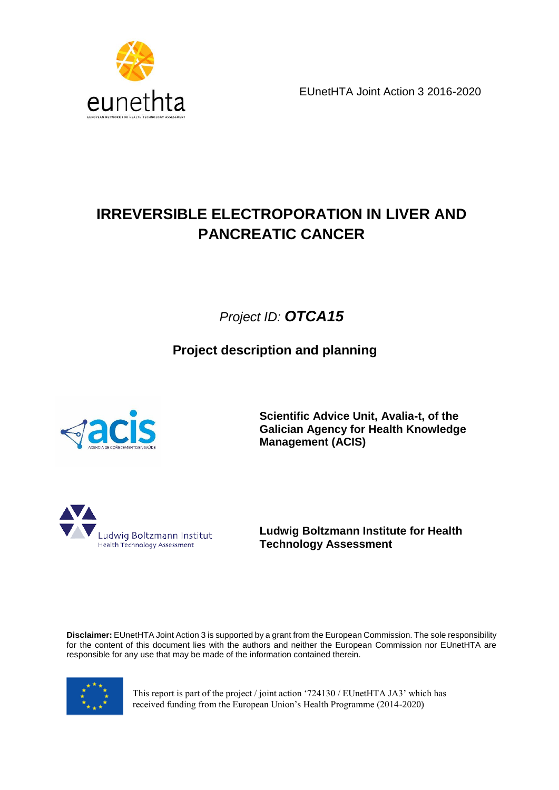



# **IRREVERSIBLE ELECTROPORATION IN LIVER AND PANCREATIC CANCER**

*Project ID: OTCA15*

**Project description and planning**



**Scientific Advice Unit, Avalia-t, of the Galician Agency for Health Knowledge Management (ACIS)**



**Ludwig Boltzmann Institute for Health Technology Assessment**

**Disclaimer:** EUnetHTA Joint Action 3 is supported by a grant from the European Commission. The sole responsibility for the content of this document lies with the authors and neither the European Commission nor EUnetHTA are responsible for any use that may be made of the information contained therein.



This report is part of the project / joint action '724130 / EUnetHTA JA3' which has received funding from the European Union's Health Programme (2014-2020)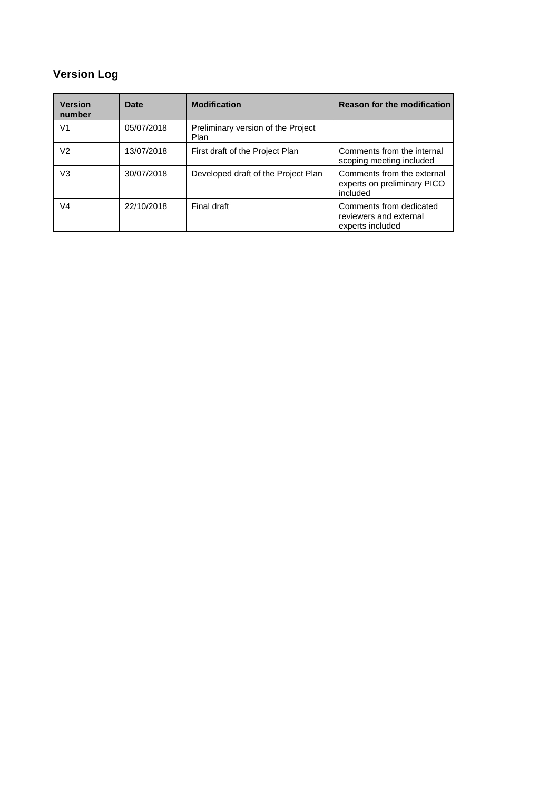## **Version Log**

| <b>Version</b><br>number | Date       | <b>Modification</b>                        | <b>Reason for the modification</b>                                    |
|--------------------------|------------|--------------------------------------------|-----------------------------------------------------------------------|
| V <sub>1</sub>           | 05/07/2018 | Preliminary version of the Project<br>Plan |                                                                       |
| V <sub>2</sub>           | 13/07/2018 | First draft of the Project Plan            | Comments from the internal<br>scoping meeting included                |
| V3                       | 30/07/2018 | Developed draft of the Project Plan        | Comments from the external<br>experts on preliminary PICO<br>included |
| V <sub>4</sub>           | 22/10/2018 | Final draft                                | Comments from dedicated<br>reviewers and external<br>experts included |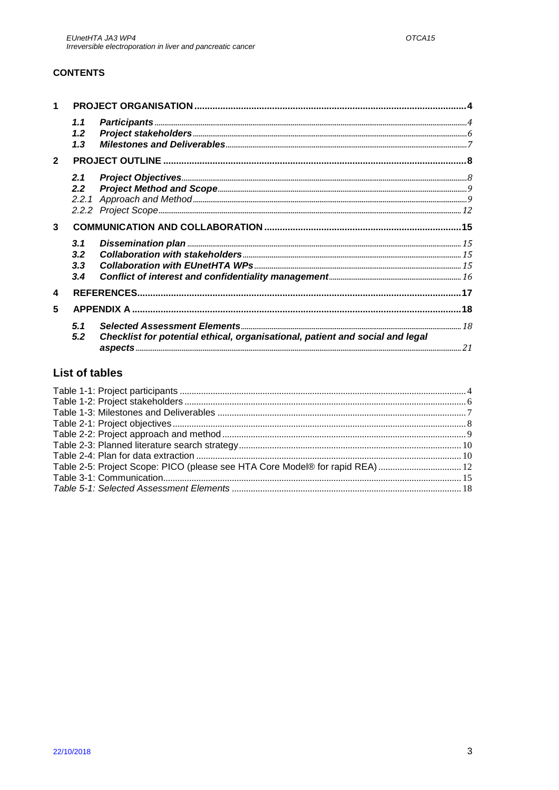### **CONTENTS**

| $\mathbf{1}$   |                          |                                                                                                                                                                                                                                                                                                                                                                                             |  |
|----------------|--------------------------|---------------------------------------------------------------------------------------------------------------------------------------------------------------------------------------------------------------------------------------------------------------------------------------------------------------------------------------------------------------------------------------------|--|
|                | 1.1<br>1.2<br>1.3        | $\textit{Participants} \textit{} \textit{} \textit{} \textit{} \textit{} \textit{} \textit{} \textit{} \textit{} \textit{} \textit{} \textit{} \textit{} \textit{} \textit{} \textit{} \textit{} \textit{} \textit{} \textit{} \textit{} \textit{} \textit{} \textit{} \textit{} \textit{} \textit{} \textit{} \textit{} \textit{} \textit{} \textit{} \textit{} \textit{} \textit{} \text$ |  |
| $\overline{2}$ |                          |                                                                                                                                                                                                                                                                                                                                                                                             |  |
|                | 2.1<br>2.2 <sub>2</sub>  |                                                                                                                                                                                                                                                                                                                                                                                             |  |
|                |                          |                                                                                                                                                                                                                                                                                                                                                                                             |  |
|                |                          |                                                                                                                                                                                                                                                                                                                                                                                             |  |
| 3              |                          |                                                                                                                                                                                                                                                                                                                                                                                             |  |
|                | 3.1<br>3.2<br>3.3<br>3.4 |                                                                                                                                                                                                                                                                                                                                                                                             |  |
| 4              |                          |                                                                                                                                                                                                                                                                                                                                                                                             |  |
| 5              |                          |                                                                                                                                                                                                                                                                                                                                                                                             |  |
|                | 5.1<br>5.2               | Checklist for potential ethical, organisational, patient and social and legal                                                                                                                                                                                                                                                                                                               |  |

## **List of tables**

| Table 2-5: Project Scope: PICO (please see HTA Core Model® for rapid REA)  12 |  |
|-------------------------------------------------------------------------------|--|
|                                                                               |  |
|                                                                               |  |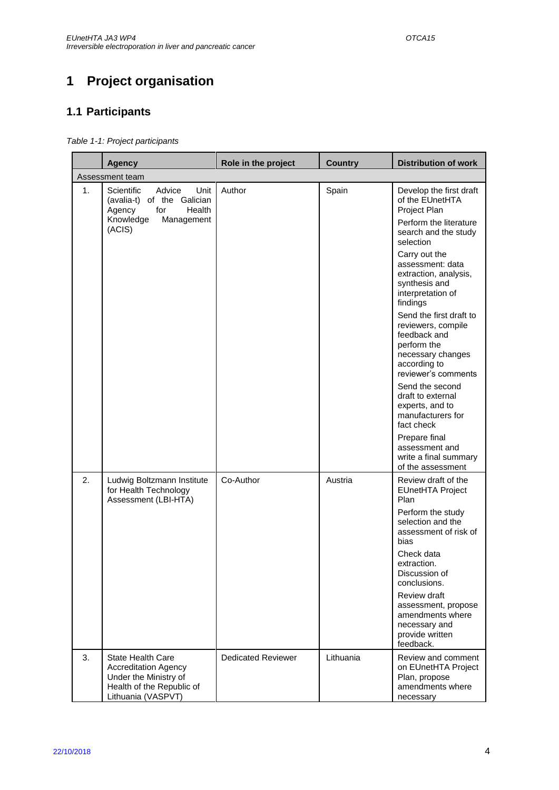# <span id="page-3-0"></span>**1 Project organisation**

## <span id="page-3-1"></span>**1.1 Participants**

<span id="page-3-2"></span>*Table 1-1: Project participants* 

|    | <b>Agency</b>                                                                                                                       | Role in the project       | <b>Country</b> | <b>Distribution of work</b>                                                                                                              |
|----|-------------------------------------------------------------------------------------------------------------------------------------|---------------------------|----------------|------------------------------------------------------------------------------------------------------------------------------------------|
|    | Assessment team                                                                                                                     |                           |                |                                                                                                                                          |
| 1. | Scientific<br>Advice<br>Unit<br>(avalia-t) of the Galician<br>for<br>Health<br>Agency<br>Knowledge<br>Management<br>(ACIS)          | Author                    | Spain          | Develop the first draft<br>of the EUnetHTA<br>Project Plan<br>Perform the literature<br>search and the study<br>selection                |
|    |                                                                                                                                     |                           |                | Carry out the<br>assessment: data<br>extraction, analysis,<br>synthesis and<br>interpretation of<br>findings                             |
|    |                                                                                                                                     |                           |                | Send the first draft to<br>reviewers, compile<br>feedback and<br>perform the<br>necessary changes<br>according to<br>reviewer's comments |
|    |                                                                                                                                     |                           |                | Send the second<br>draft to external<br>experts, and to<br>manufacturers for<br>fact check                                               |
|    |                                                                                                                                     |                           |                | Prepare final<br>assessment and<br>write a final summary<br>of the assessment                                                            |
| 2. | Ludwig Boltzmann Institute<br>for Health Technology<br>Assessment (LBI-HTA)                                                         | Co-Author                 | Austria        | Review draft of the<br><b>EUnetHTA Project</b><br>Plan                                                                                   |
|    |                                                                                                                                     |                           |                | Perform the study<br>selection and the<br>assessment of risk of<br>bias                                                                  |
|    |                                                                                                                                     |                           |                | Check data<br>extraction.<br>Discussion of<br>conclusions.                                                                               |
|    |                                                                                                                                     |                           |                | Review draft<br>assessment, propose<br>amendments where<br>necessary and<br>provide written<br>feedback.                                 |
| 3. | <b>State Health Care</b><br><b>Accreditation Agency</b><br>Under the Ministry of<br>Health of the Republic of<br>Lithuania (VASPVT) | <b>Dedicated Reviewer</b> | Lithuania      | Review and comment<br>on EUnetHTA Project<br>Plan, propose<br>amendments where<br>necessary                                              |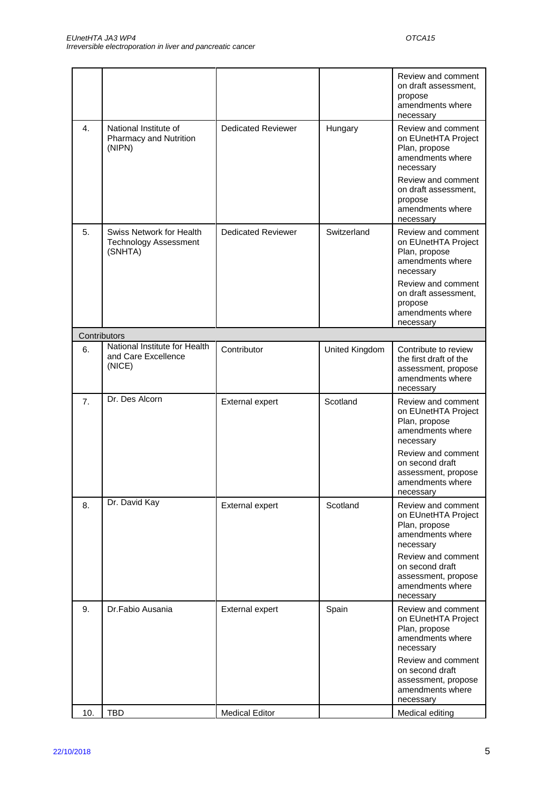|     |                                                                     |                           |                | Review and comment<br>on draft assessment,<br>propose<br>amendments where<br>necessary                                                                                                       |
|-----|---------------------------------------------------------------------|---------------------------|----------------|----------------------------------------------------------------------------------------------------------------------------------------------------------------------------------------------|
| 4.  | National Institute of<br>Pharmacy and Nutrition<br>(NIPN)           | <b>Dedicated Reviewer</b> | Hungary        | Review and comment<br>on EUnetHTA Project<br>Plan, propose<br>amendments where<br>necessary<br>Review and comment<br>on draft assessment,<br>propose<br>amendments where<br>necessary        |
| 5.  | Swiss Network for Health<br><b>Technology Assessment</b><br>(SNHTA) | <b>Dedicated Reviewer</b> | Switzerland    | Review and comment<br>on EUnetHTA Project<br>Plan, propose<br>amendments where<br>necessary<br>Review and comment<br>on draft assessment,<br>propose<br>amendments where<br>necessary        |
|     | Contributors                                                        |                           |                |                                                                                                                                                                                              |
| 6.  | National Institute for Health<br>and Care Excellence<br>(NICE)      | Contributor               | United Kingdom | Contribute to review<br>the first draft of the<br>assessment, propose<br>amendments where<br>necessary                                                                                       |
| 7.  | Dr. Des Alcorn                                                      | External expert           | Scotland       | Review and comment<br>on EUnetHTA Project<br>Plan, propose<br>amendments where<br>necessary<br>Review and comment<br>on second draft<br>assessment, propose<br>amendments where<br>necessary |
| 8.  | Dr. David Kay                                                       | External expert           | Scotland       | Review and comment<br>on EUnetHTA Project<br>Plan, propose<br>amendments where<br>necessary<br>Review and comment<br>on second draft<br>assessment, propose<br>amendments where<br>necessary |
| 9.  | Dr.Fabio Ausania                                                    | External expert           | Spain          | Review and comment<br>on EUnetHTA Project<br>Plan, propose<br>amendments where<br>necessary<br>Review and comment<br>on second draft<br>assessment, propose<br>amendments where<br>necessary |
| 10. | <b>TBD</b>                                                          | <b>Medical Editor</b>     |                | Medical editing                                                                                                                                                                              |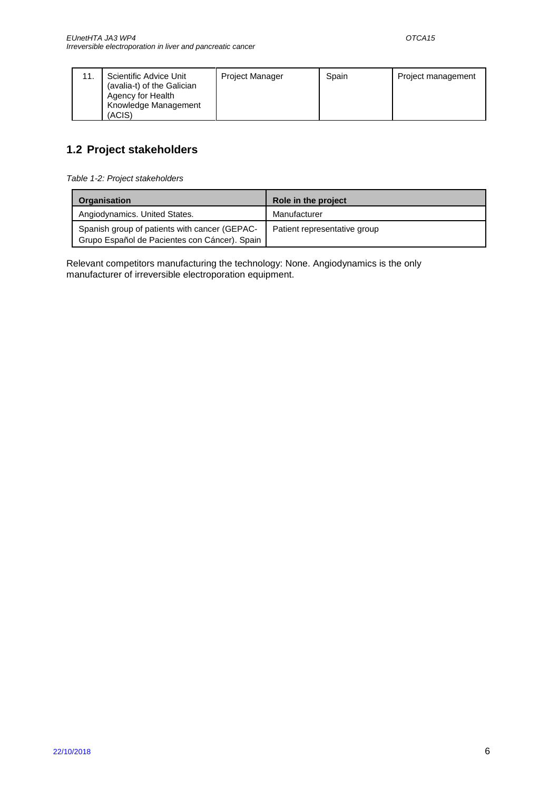## <span id="page-5-0"></span>**1.2 Project stakeholders**

<span id="page-5-1"></span>*Table 1-2: Project stakeholders*

| <b>Organisation</b>                                                                            | Role in the project          |  |
|------------------------------------------------------------------------------------------------|------------------------------|--|
| Angiodynamics. United States.                                                                  | Manufacturer                 |  |
| Spanish group of patients with cancer (GEPAC-<br>Grupo Español de Pacientes con Cáncer). Spain | Patient representative group |  |

Relevant competitors manufacturing the technology: None. Angiodynamics is the only manufacturer of irreversible electroporation equipment.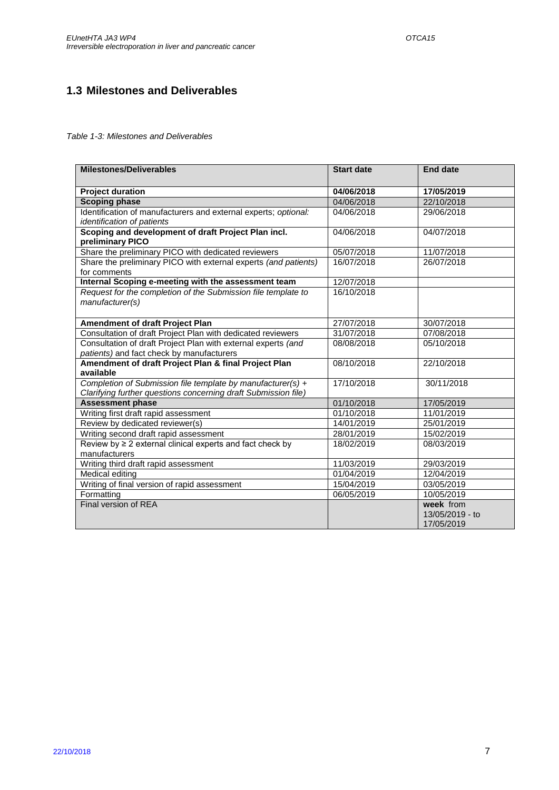## <span id="page-6-0"></span>**1.3 Milestones and Deliverables**

#### <span id="page-6-1"></span>*Table 1-3: Milestones and Deliverables*

| <b>Milestones/Deliverables</b>                                                                                                | <b>Start date</b> | <b>End date</b> |
|-------------------------------------------------------------------------------------------------------------------------------|-------------------|-----------------|
| <b>Project duration</b>                                                                                                       | 04/06/2018        | 17/05/2019      |
| <b>Scoping phase</b>                                                                                                          | 04/06/2018        | 22/10/2018      |
| Identification of manufacturers and external experts; optional:<br>identification of patients                                 | 04/06/2018        | 29/06/2018      |
| Scoping and development of draft Project Plan incl.<br>preliminary PICO                                                       | 04/06/2018        | 04/07/2018      |
| Share the preliminary PICO with dedicated reviewers                                                                           | 05/07/2018        | 11/07/2018      |
| Share the preliminary PICO with external experts (and patients)<br>for comments                                               | 16/07/2018        | 26/07/2018      |
| Internal Scoping e-meeting with the assessment team                                                                           | 12/07/2018        |                 |
| Request for the completion of the Submission file template to<br>manufacturer(s)                                              | 16/10/2018        |                 |
| Amendment of draft Project Plan                                                                                               | 27/07/2018        | 30/07/2018      |
| Consultation of draft Project Plan with dedicated reviewers                                                                   | 31/07/2018        | 07/08/2018      |
| Consultation of draft Project Plan with external experts (and                                                                 | 08/08/2018        | 05/10/2018      |
| patients) and fact check by manufacturers                                                                                     |                   |                 |
| Amendment of draft Project Plan & final Project Plan<br>available                                                             | 08/10/2018        | 22/10/2018      |
| Completion of Submission file template by manufacturer(s) +<br>Clarifying further questions concerning draft Submission file) | 17/10/2018        | 30/11/2018      |
| <b>Assessment phase</b>                                                                                                       | 01/10/2018        | 17/05/2019      |
| Writing first draft rapid assessment                                                                                          | 01/10/2018        | 11/01/2019      |
| Review by dedicated reviewer(s)                                                                                               | 14/01/2019        | 25/01/2019      |
| Writing second draft rapid assessment                                                                                         | 28/01/2019        | 15/02/2019      |
| Review by $\geq 2$ external clinical experts and fact check by<br>manufacturers                                               | 18/02/2019        | 08/03/2019      |
| Writing third draft rapid assessment                                                                                          | 11/03/2019        | 29/03/2019      |
| Medical editing                                                                                                               | 01/04/2019        | 12/04/2019      |
| Writing of final version of rapid assessment                                                                                  | 15/04/2019        | 03/05/2019      |
| Formatting                                                                                                                    | 06/05/2019        | 10/05/2019      |
| Final version of REA                                                                                                          |                   | week from       |
|                                                                                                                               |                   | 13/05/2019 - to |
|                                                                                                                               |                   | 17/05/2019      |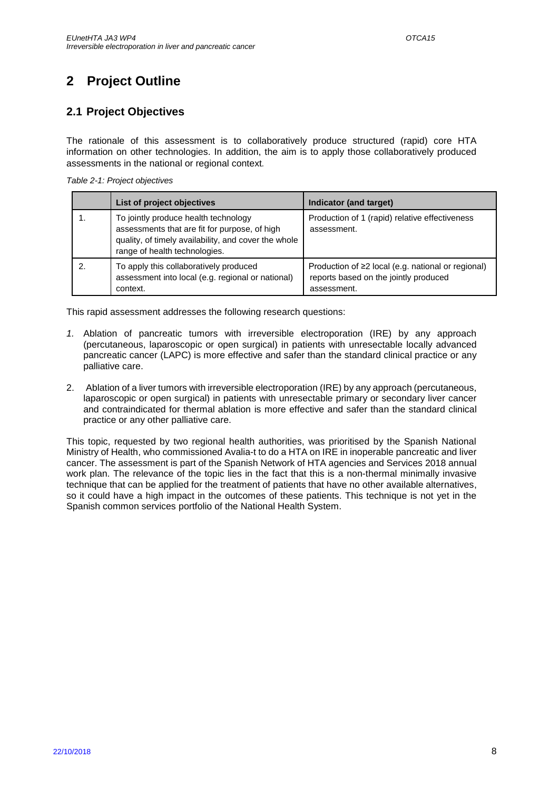# <span id="page-7-0"></span>**2 Project Outline**

## <span id="page-7-1"></span>**2.1 Project Objectives**

The rationale of this assessment is to collaboratively produce structured (rapid) core HTA information on other technologies. In addition, the aim is to apply those collaboratively produced assessments in the national or regional context*.* 

<span id="page-7-2"></span>

| List of project objectives                                                                                                                                                     | Indicator (and target)                                                                                           |
|--------------------------------------------------------------------------------------------------------------------------------------------------------------------------------|------------------------------------------------------------------------------------------------------------------|
| To jointly produce health technology<br>assessments that are fit for purpose, of high<br>quality, of timely availability, and cover the whole<br>range of health technologies. | Production of 1 (rapid) relative effectiveness<br>assessment.                                                    |
| To apply this collaboratively produced<br>assessment into local (e.g. regional or national)<br>context.                                                                        | Production of $\geq 2$ local (e.g. national or regional)<br>reports based on the jointly produced<br>assessment. |

This rapid assessment addresses the following research questions:

- *1.* Ablation of pancreatic tumors with irreversible electroporation (IRE) by any approach (percutaneous, laparoscopic or open surgical) in patients with unresectable locally advanced pancreatic cancer (LAPC) is more effective and safer than the standard clinical practice or any palliative care.
- 2. Ablation of a liver tumors with irreversible electroporation (IRE) by any approach (percutaneous, laparoscopic or open surgical) in patients with unresectable primary or secondary liver cancer and contraindicated for thermal ablation is more effective and safer than the standard clinical practice or any other palliative care.

This topic, requested by two regional health authorities, was prioritised by the Spanish National Ministry of Health, who commissioned Avalia-t to do a HTA on IRE in inoperable pancreatic and liver cancer. The assessment is part of the Spanish Network of HTA agencies and Services 2018 annual work plan. The relevance of the topic lies in the fact that this is a non-thermal minimally invasive technique that can be applied for the treatment of patients that have no other available alternatives, so it could have a high impact in the outcomes of these patients. This technique is not yet in the Spanish common services portfolio of the National Health System.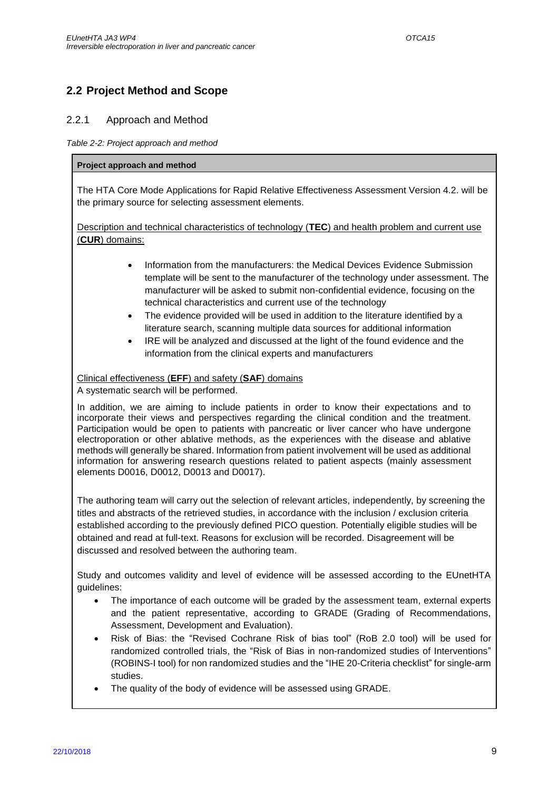## <span id="page-8-0"></span>**2.2 Project Method and Scope**

### <span id="page-8-1"></span>2.2.1 Approach and Method

#### <span id="page-8-2"></span>*Table 2-2: Project approach and method*

#### **Project approach and method**

The HTA Core Mode Applications for Rapid Relative Effectiveness Assessment Version 4.2. will be the primary source for selecting assessment elements.

Description and technical characteristics of technology (**TEC**) and health problem and current use (**CUR**) domains:

- Information from the manufacturers: the Medical Devices Evidence Submission template will be sent to the manufacturer of the technology under assessment. The manufacturer will be asked to submit non-confidential evidence, focusing on the technical characteristics and current use of the technology
- The evidence provided will be used in addition to the literature identified by a literature search, scanning multiple data sources for additional information
- IRE will be analyzed and discussed at the light of the found evidence and the information from the clinical experts and manufacturers

Clinical effectiveness (**EFF**) and safety (**SAF**) domains

A systematic search will be performed.

In addition, we are aiming to include patients in order to know their expectations and to incorporate their views and perspectives regarding the clinical condition and the treatment. Participation would be open to patients with pancreatic or liver cancer who have undergone electroporation or other ablative methods, as the experiences with the disease and ablative methods will generally be shared. Information from patient involvement will be used as additional information for answering research questions related to patient aspects (mainly assessment elements D0016, D0012, D0013 and D0017).

The authoring team will carry out the selection of relevant articles, independently, by screening the titles and abstracts of the retrieved studies, in accordance with the inclusion / exclusion criteria established according to the previously defined PICO question. Potentially eligible studies will be obtained and read at full-text. Reasons for exclusion will be recorded. Disagreement will be discussed and resolved between the authoring team.

Study and outcomes validity and level of evidence will be assessed according to the EUnetHTA guidelines:

- The importance of each outcome will be graded by the assessment team, external experts and the patient representative, according to GRADE (Grading of Recommendations, Assessment, Development and Evaluation).
- Risk of Bias: the "Revised Cochrane Risk of bias tool" (RoB 2.0 tool) will be used for randomized controlled trials, the "Risk of Bias in non-randomized studies of Interventions" (ROBINS-I tool) for non randomized studies and the "IHE 20-Criteria checklist" for single-arm studies.
- The quality of the body of evidence will be assessed using GRADE.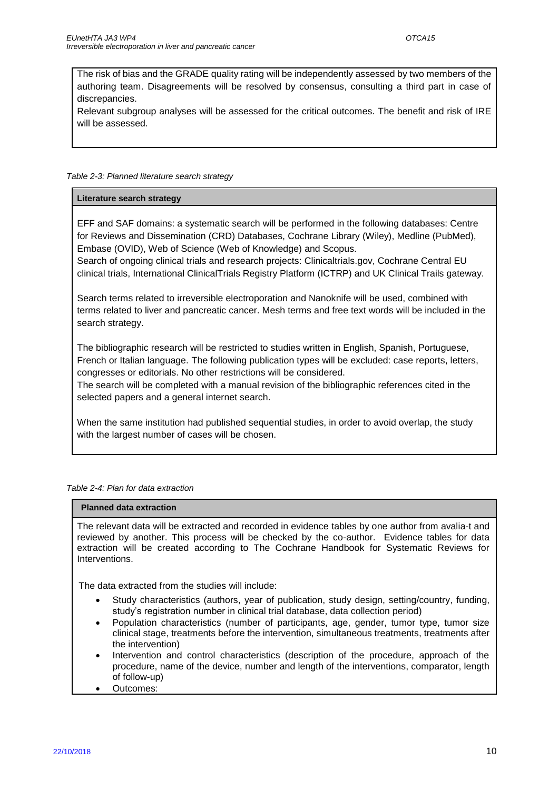The risk of bias and the GRADE quality rating will be independently assessed by two members of the authoring team. Disagreements will be resolved by consensus, consulting a third part in case of discrepancies.

Relevant subgroup analyses will be assessed for the critical outcomes. The benefit and risk of IRE will be assessed.

#### <span id="page-9-0"></span>*Table 2-3: Planned literature search strategy*

#### **Literature search strategy**

EFF and SAF domains: a systematic search will be performed in the following databases: Centre for Reviews and Dissemination (CRD) Databases, Cochrane Library (Wiley), Medline (PubMed), Embase (OVID), Web of Science (Web of Knowledge) and Scopus.

Search of ongoing clinical trials and research projects: Clinicaltrials.gov, Cochrane Central EU clinical trials, International ClinicalTrials Registry Platform (ICTRP) and UK Clinical Trails gateway.

Search terms related to irreversible electroporation and Nanoknife will be used, combined with terms related to liver and pancreatic cancer. Mesh terms and free text words will be included in the search strategy.

The bibliographic research will be restricted to studies written in English, Spanish, Portuguese, French or Italian language. The following publication types will be excluded: case reports, letters, congresses or editorials. No other restrictions will be considered.

The search will be completed with a manual revision of the bibliographic references cited in the selected papers and a general internet search.

When the same institution had published sequential studies, in order to avoid overlap, the study with the largest number of cases will be chosen.

#### <span id="page-9-1"></span>*Table 2-4: Plan for data extraction*

#### **Planned data extraction**

The relevant data will be extracted and recorded in evidence tables by one author from avalia-t and reviewed by another. This process will be checked by the co-author. Evidence tables for data extraction will be created according to The Cochrane Handbook for Systematic Reviews for Interventions.

The data extracted from the studies will include:

- Study characteristics (authors, year of publication, study design, setting/country, funding, study's registration number in clinical trial database, data collection period)
- Population characteristics (number of participants, age, gender, tumor type, tumor size clinical stage, treatments before the intervention, simultaneous treatments, treatments after the intervention)
- Intervention and control characteristics (description of the procedure, approach of the procedure, name of the device, number and length of the interventions, comparator, length of follow-up)
- Outcomes: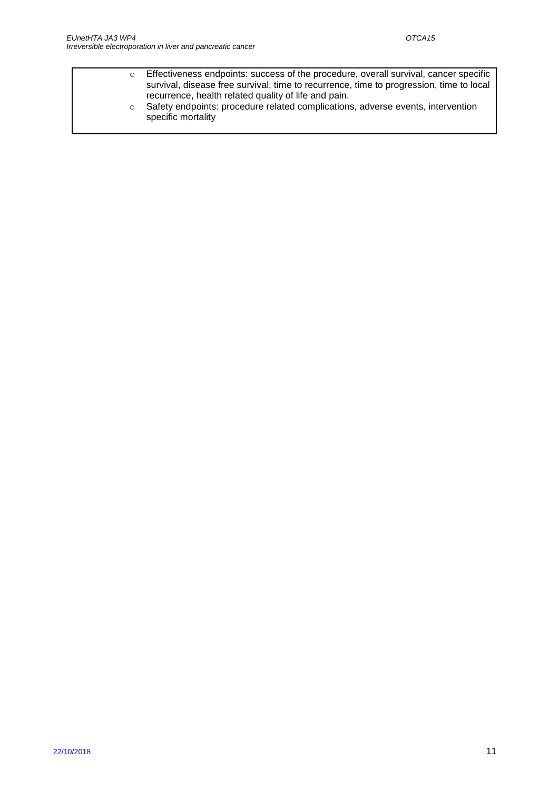o Effectiveness endpoints: success of the procedure, overall survival, cancer specific survival, disease free survival, time to recurrence, time to progression, time to local recurrence, health related quality of life and pain. o Safety endpoints: procedure related complications, adverse events, intervention specific mortality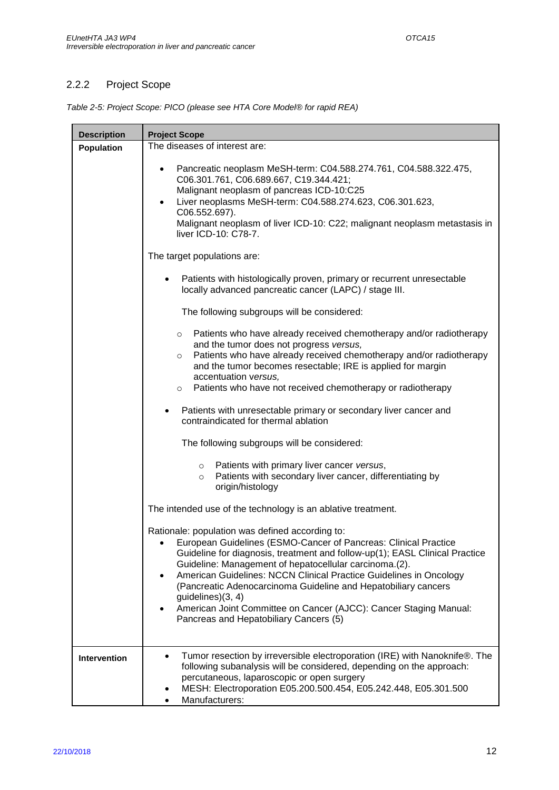ł,

## <span id="page-11-0"></span>2.2.2 Project Scope

'n

<span id="page-11-1"></span>

| Table 2-5: Project Scope: PICO (please see HTA Core Model® for rapid REA) |  |
|---------------------------------------------------------------------------|--|

| <b>Description</b> | <b>Project Scope</b>                                                                                                                                                                                                                                                                                                                                                                                                                                                                                                                                                           |  |  |
|--------------------|--------------------------------------------------------------------------------------------------------------------------------------------------------------------------------------------------------------------------------------------------------------------------------------------------------------------------------------------------------------------------------------------------------------------------------------------------------------------------------------------------------------------------------------------------------------------------------|--|--|
| <b>Population</b>  | The diseases of interest are:                                                                                                                                                                                                                                                                                                                                                                                                                                                                                                                                                  |  |  |
|                    | Pancreatic neoplasm MeSH-term: C04.588.274.761, C04.588.322.475,<br>٠<br>C06.301.761, C06.689.667, C19.344.421;<br>Malignant neoplasm of pancreas ICD-10:C25<br>Liver neoplasms MeSH-term: C04.588.274.623, C06.301.623,<br>$\bullet$<br>C06.552.697).<br>Malignant neoplasm of liver ICD-10: C22; malignant neoplasm metastasis in<br>liver ICD-10: C78-7.                                                                                                                                                                                                                    |  |  |
|                    | The target populations are:                                                                                                                                                                                                                                                                                                                                                                                                                                                                                                                                                    |  |  |
|                    | Patients with histologically proven, primary or recurrent unresectable<br>locally advanced pancreatic cancer (LAPC) / stage III.                                                                                                                                                                                                                                                                                                                                                                                                                                               |  |  |
|                    | The following subgroups will be considered:                                                                                                                                                                                                                                                                                                                                                                                                                                                                                                                                    |  |  |
|                    | Patients who have already received chemotherapy and/or radiotherapy<br>$\circ$<br>and the tumor does not progress versus,<br>Patients who have already received chemotherapy and/or radiotherapy<br>$\circ$<br>and the tumor becomes resectable; IRE is applied for margin<br>accentuation versus,                                                                                                                                                                                                                                                                             |  |  |
|                    | o Patients who have not received chemotherapy or radiotherapy                                                                                                                                                                                                                                                                                                                                                                                                                                                                                                                  |  |  |
|                    | Patients with unresectable primary or secondary liver cancer and<br>$\bullet$<br>contraindicated for thermal ablation                                                                                                                                                                                                                                                                                                                                                                                                                                                          |  |  |
|                    | The following subgroups will be considered:                                                                                                                                                                                                                                                                                                                                                                                                                                                                                                                                    |  |  |
|                    | Patients with primary liver cancer versus,<br>$\circ$<br>Patients with secondary liver cancer, differentiating by<br>$\circ$<br>origin/histology                                                                                                                                                                                                                                                                                                                                                                                                                               |  |  |
|                    | The intended use of the technology is an ablative treatment.                                                                                                                                                                                                                                                                                                                                                                                                                                                                                                                   |  |  |
|                    | Rationale: population was defined according to:<br>European Guidelines (ESMO-Cancer of Pancreas: Clinical Practice<br>$\bullet$<br>Guideline for diagnosis, treatment and follow-up(1); EASL Clinical Practice<br>Guideline: Management of hepatocellular carcinoma.(2).<br>American Guidelines: NCCN Clinical Practice Guidelines in Oncology<br>$\bullet$<br>(Pancreatic Adenocarcinoma Guideline and Hepatobiliary cancers<br>guidelines)(3, 4)<br>American Joint Committee on Cancer (AJCC): Cancer Staging Manual:<br>$\bullet$<br>Pancreas and Hepatobiliary Cancers (5) |  |  |
| Intervention       | Tumor resection by irreversible electroporation (IRE) with Nanoknife®. The<br>$\bullet$<br>following subanalysis will be considered, depending on the approach:<br>percutaneous, laparoscopic or open surgery<br>MESH: Electroporation E05.200.500.454, E05.242.448, E05.301.500<br>٠<br>Manufacturers:<br>$\bullet$                                                                                                                                                                                                                                                           |  |  |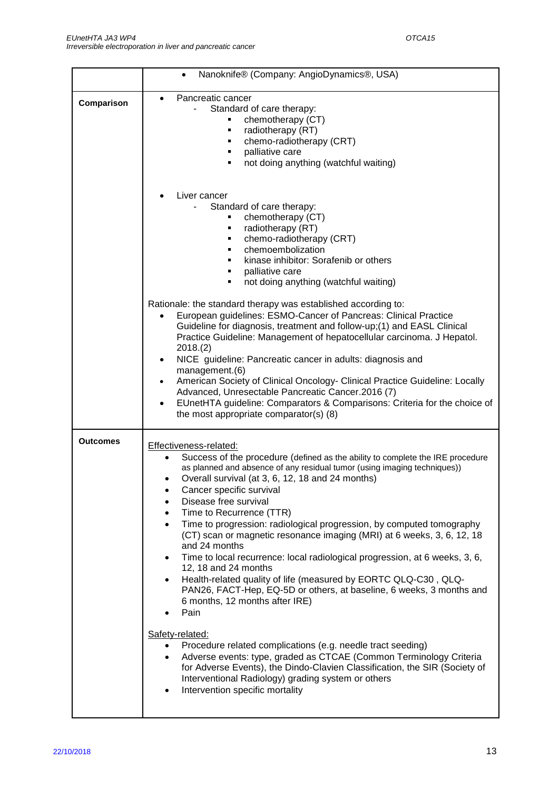|                 | Nanoknife® (Company: AngioDynamics®, USA)<br>$\bullet$                                                                                                                                                                                                                                                                                                                                                                                                                                                                                                                                                                                                                                                                                                                                                                                                                                                                                                                                                                                                                                                                                                                                                              |  |  |  |
|-----------------|---------------------------------------------------------------------------------------------------------------------------------------------------------------------------------------------------------------------------------------------------------------------------------------------------------------------------------------------------------------------------------------------------------------------------------------------------------------------------------------------------------------------------------------------------------------------------------------------------------------------------------------------------------------------------------------------------------------------------------------------------------------------------------------------------------------------------------------------------------------------------------------------------------------------------------------------------------------------------------------------------------------------------------------------------------------------------------------------------------------------------------------------------------------------------------------------------------------------|--|--|--|
| Comparison      | Pancreatic cancer<br>$\bullet$<br>Standard of care therapy:<br>chemotherapy (CT)<br>radiotherapy (RT)<br>٠<br>chemo-radiotherapy (CRT)<br>٠<br>palliative care<br>not doing anything (watchful waiting)<br>٠                                                                                                                                                                                                                                                                                                                                                                                                                                                                                                                                                                                                                                                                                                                                                                                                                                                                                                                                                                                                        |  |  |  |
|                 | Liver cancer<br>Standard of care therapy:<br>chemotherapy (CT)<br>٠<br>radiotherapy (RT)<br>٠<br>chemo-radiotherapy (CRT)<br>٠<br>chemoembolization<br>٠<br>kinase inhibitor: Sorafenib or others<br>٠<br>palliative care<br>٠<br>not doing anything (watchful waiting)<br>٠                                                                                                                                                                                                                                                                                                                                                                                                                                                                                                                                                                                                                                                                                                                                                                                                                                                                                                                                        |  |  |  |
|                 | Rationale: the standard therapy was established according to:<br>European guidelines: ESMO-Cancer of Pancreas: Clinical Practice<br>Guideline for diagnosis, treatment and follow-up;(1) and EASL Clinical<br>Practice Guideline: Management of hepatocellular carcinoma. J Hepatol.<br>2018.(2)<br>NICE guideline: Pancreatic cancer in adults: diagnosis and<br>management.(6)<br>American Society of Clinical Oncology- Clinical Practice Guideline: Locally<br>Advanced, Unresectable Pancreatic Cancer.2016 (7)<br>EUnetHTA guideline: Comparators & Comparisons: Criteria for the choice of<br>the most appropriate comparator(s) (8)                                                                                                                                                                                                                                                                                                                                                                                                                                                                                                                                                                         |  |  |  |
| <b>Outcomes</b> | Effectiveness-related:<br>Success of the procedure (defined as the ability to complete the IRE procedure<br>$\bullet$<br>as planned and absence of any residual tumor (using imaging techniques))<br>Overall survival (at 3, 6, 12, 18 and 24 months)<br>Cancer specific survival<br>Disease free survival<br>Time to Recurrence (TTR)<br>Time to progression: radiological progression, by computed tomography<br>$\bullet$<br>(CT) scan or magnetic resonance imaging (MRI) at 6 weeks, 3, 6, 12, 18<br>and 24 months<br>Time to local recurrence: local radiological progression, at 6 weeks, 3, 6,<br>$\bullet$<br>12, 18 and 24 months<br>Health-related quality of life (measured by EORTC QLQ-C30, QLQ-<br>$\bullet$<br>PAN26, FACT-Hep, EQ-5D or others, at baseline, 6 weeks, 3 months and<br>6 months, 12 months after IRE)<br>Pain<br>Safety-related:<br>Procedure related complications (e.g. needle tract seeding)<br>$\bullet$<br>Adverse events: type, graded as CTCAE (Common Terminology Criteria<br>$\bullet$<br>for Adverse Events), the Dindo-Clavien Classification, the SIR (Society of<br>Interventional Radiology) grading system or others<br>Intervention specific mortality<br>$\bullet$ |  |  |  |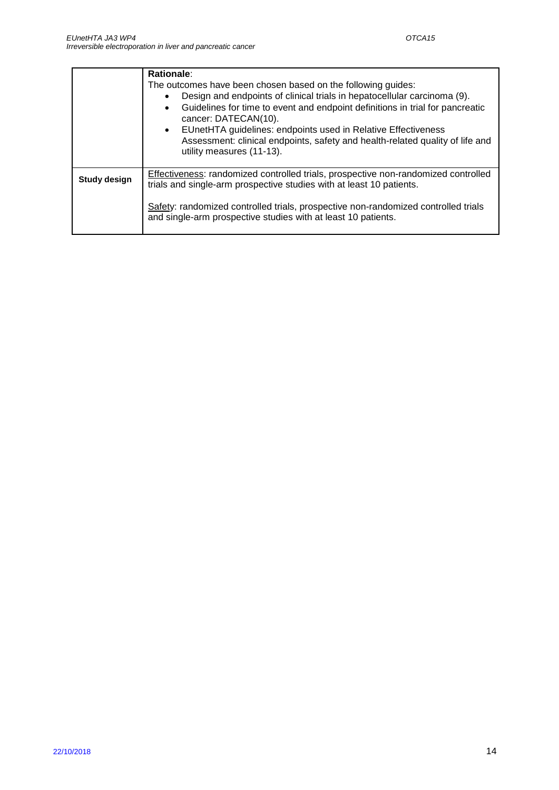|                     | Rationale:<br>The outcomes have been chosen based on the following guides:<br>Design and endpoints of clinical trials in hepatocellular carcinoma (9).<br>Guidelines for time to event and endpoint definitions in trial for pancreatic<br>$\bullet$<br>cancer: DATECAN(10).<br>• EUnetHTA guidelines: endpoints used in Relative Effectiveness<br>Assessment: clinical endpoints, safety and health-related quality of life and<br>utility measures (11-13). |
|---------------------|---------------------------------------------------------------------------------------------------------------------------------------------------------------------------------------------------------------------------------------------------------------------------------------------------------------------------------------------------------------------------------------------------------------------------------------------------------------|
| <b>Study design</b> | Effectiveness: randomized controlled trials, prospective non-randomized controlled<br>trials and single-arm prospective studies with at least 10 patients.                                                                                                                                                                                                                                                                                                    |
|                     | Safety: randomized controlled trials, prospective non-randomized controlled trials<br>and single-arm prospective studies with at least 10 patients.                                                                                                                                                                                                                                                                                                           |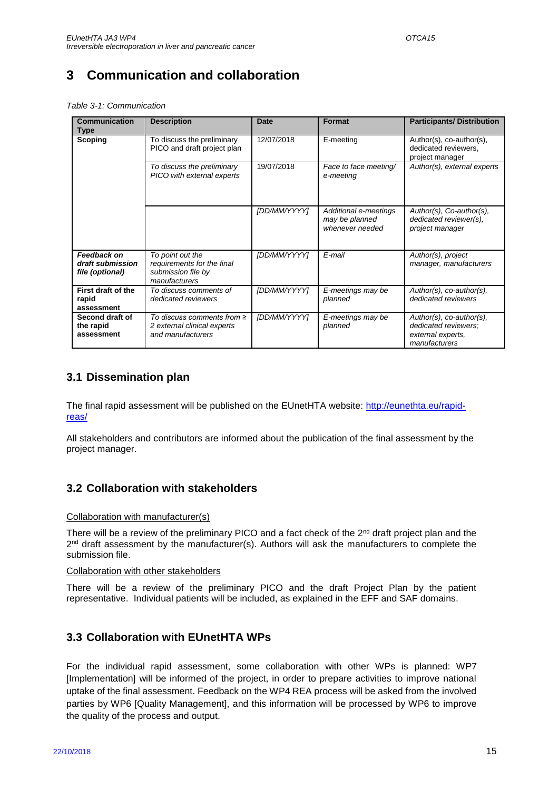# <span id="page-14-0"></span>**3 Communication and collaboration**

<span id="page-14-4"></span>*Table 3-1: Communication*

| Communication<br>Type                              | <b>Description</b>                                                                    | <b>Date</b>  | <b>Format</b>                                              | <b>Participants/Distribution</b>                                                       |
|----------------------------------------------------|---------------------------------------------------------------------------------------|--------------|------------------------------------------------------------|----------------------------------------------------------------------------------------|
| Scoping                                            | To discuss the preliminary<br>PICO and draft project plan                             | 12/07/2018   | E-meeting                                                  | Author(s), co-author(s),<br>dedicated reviewers,<br>project manager                    |
|                                                    | To discuss the preliminary<br>PICO with external experts                              | 19/07/2018   | Face to face meeting/<br>e-meeting                         | Author(s), external experts                                                            |
|                                                    |                                                                                       | [DD/MM/YYYY] | Additional e-meetings<br>may be planned<br>whenever needed | Author(s), Co-author(s),<br>dedicated reviewer(s),<br>project manager                  |
| Feedback on<br>draft submission<br>file (optional) | To point out the<br>requirements for the final<br>submission file by<br>manufacturers | [DD/MM/YYYY] | E-mail                                                     | Author(s), project<br>manager, manufacturers                                           |
| First draft of the<br>rapid<br>assessment          | To discuss comments of<br>dedicated reviewers                                         | [DD/MM/YYYY] | E-meetings may be<br>planned                               | Author(s), co-author(s),<br>dedicated reviewers                                        |
| Second draft of<br>the rapid<br>assessment         | To discuss comments from $\geq$<br>2 external clinical experts<br>and manufacturers   | [DD/MM/YYYY] | E-meetings may be<br>planned                               | Author(s), co-author(s),<br>dedicated reviewers:<br>external experts.<br>manufacturers |

### <span id="page-14-1"></span>**3.1 Dissemination plan**

The final rapid assessment will be published on the EUnetHTA website: [http://eunethta.eu/rapid](http://eunethta.eu/rapid-reas/)[reas/](http://eunethta.eu/rapid-reas/)

All stakeholders and contributors are informed about the publication of the final assessment by the project manager.

## <span id="page-14-2"></span>**3.2 Collaboration with stakeholders**

#### Collaboration with manufacturer(s)

There will be a review of the preliminary PICO and a fact check of the  $2<sup>nd</sup>$  draft project plan and the 2<sup>nd</sup> draft assessment by the manufacturer(s). Authors will ask the manufacturers to complete the submission file.

#### Collaboration with other stakeholders

There will be a review of the preliminary PICO and the draft Project Plan by the patient representative. Individual patients will be included, as explained in the EFF and SAF domains.

### <span id="page-14-3"></span>**3.3 Collaboration with EUnetHTA WPs**

For the individual rapid assessment, some collaboration with other WPs is planned: WP7 [Implementation] will be informed of the project, in order to prepare activities to improve national uptake of the final assessment. Feedback on the WP4 REA process will be asked from the involved parties by WP6 [Quality Management], and this information will be processed by WP6 to improve the quality of the process and output.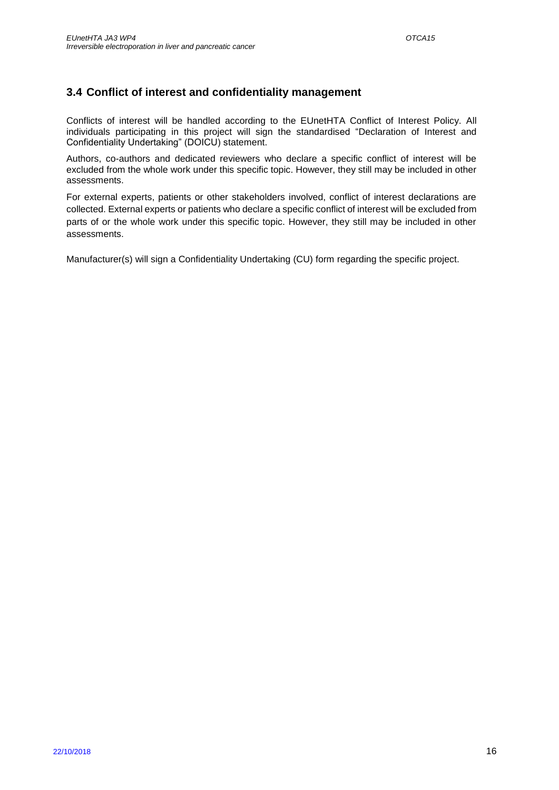### <span id="page-15-0"></span>**3.4 Conflict of interest and confidentiality management**

Conflicts of interest will be handled according to the EUnetHTA Conflict of Interest Policy. All individuals participating in this project will sign the standardised "Declaration of Interest and Confidentiality Undertaking" (DOICU) statement.

Authors, co-authors and dedicated reviewers who declare a specific conflict of interest will be excluded from the whole work under this specific topic. However, they still may be included in other assessments.

For external experts, patients or other stakeholders involved, conflict of interest declarations are collected. External experts or patients who declare a specific conflict of interest will be excluded from parts of or the whole work under this specific topic. However, they still may be included in other assessments.

Manufacturer(s) will sign a Confidentiality Undertaking (CU) form regarding the specific project.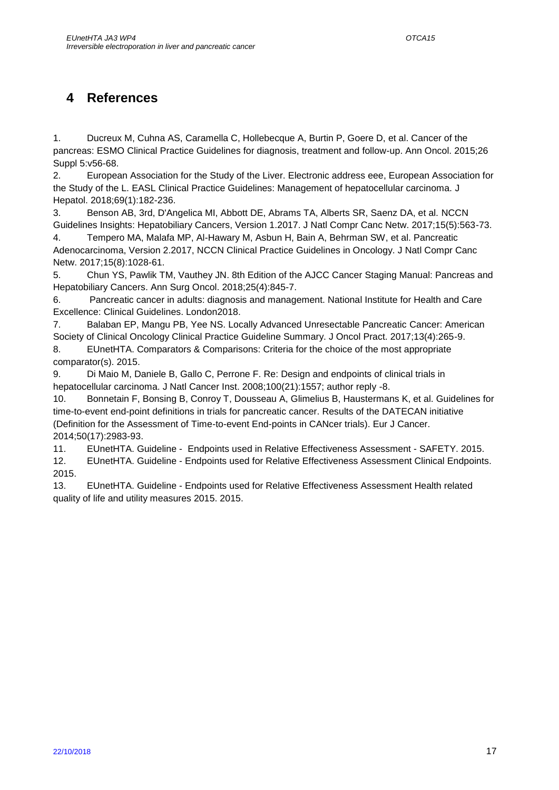## <span id="page-16-0"></span>**4 References**

1. Ducreux M, Cuhna AS, Caramella C, Hollebecque A, Burtin P, Goere D, et al. Cancer of the pancreas: ESMO Clinical Practice Guidelines for diagnosis, treatment and follow-up. Ann Oncol. 2015;26 Suppl 5:v56-68.

2. European Association for the Study of the Liver. Electronic address eee, European Association for the Study of the L. EASL Clinical Practice Guidelines: Management of hepatocellular carcinoma. J Hepatol. 2018;69(1):182-236.

3. Benson AB, 3rd, D'Angelica MI, Abbott DE, Abrams TA, Alberts SR, Saenz DA, et al. NCCN Guidelines Insights: Hepatobiliary Cancers, Version 1.2017. J Natl Compr Canc Netw. 2017;15(5):563-73.

4. Tempero MA, Malafa MP, Al-Hawary M, Asbun H, Bain A, Behrman SW, et al. Pancreatic Adenocarcinoma, Version 2.2017, NCCN Clinical Practice Guidelines in Oncology. J Natl Compr Canc Netw. 2017;15(8):1028-61.

5. Chun YS, Pawlik TM, Vauthey JN. 8th Edition of the AJCC Cancer Staging Manual: Pancreas and Hepatobiliary Cancers. Ann Surg Oncol. 2018;25(4):845-7.

6. Pancreatic cancer in adults: diagnosis and management. National Institute for Health and Care Excellence: Clinical Guidelines. London2018.

7. Balaban EP, Mangu PB, Yee NS. Locally Advanced Unresectable Pancreatic Cancer: American Society of Clinical Oncology Clinical Practice Guideline Summary. J Oncol Pract. 2017;13(4):265-9.

8. EUnetHTA. Comparators & Comparisons: Criteria for the choice of the most appropriate comparator(s). 2015.

9. Di Maio M, Daniele B, Gallo C, Perrone F. Re: Design and endpoints of clinical trials in hepatocellular carcinoma. J Natl Cancer Inst. 2008;100(21):1557; author reply -8.

10. Bonnetain F, Bonsing B, Conroy T, Dousseau A, Glimelius B, Haustermans K, et al. Guidelines for time-to-event end-point definitions in trials for pancreatic cancer. Results of the DATECAN initiative (Definition for the Assessment of Time-to-event End-points in CANcer trials). Eur J Cancer. 2014;50(17):2983-93.

11. EUnetHTA. Guideline - Endpoints used in Relative Effectiveness Assessment - SAFETY. 2015.

12. EUnetHTA. Guideline - Endpoints used for Relative Effectiveness Assessment Clinical Endpoints. 2015.

13. EUnetHTA. Guideline - Endpoints used for Relative Effectiveness Assessment Health related quality of life and utility measures 2015. 2015.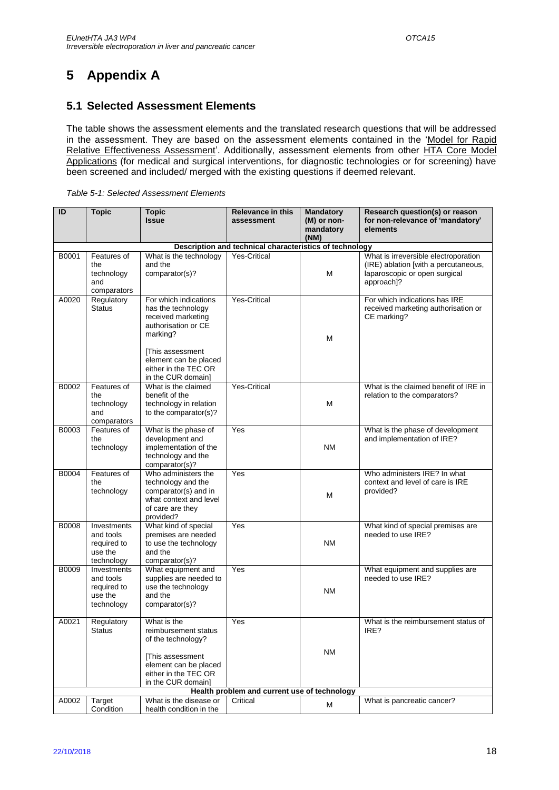# <span id="page-17-0"></span>**5 Appendix A**

### <span id="page-17-1"></span>**5.1 Selected Assessment Elements**

The table shows the assessment elements and the translated research questions that will be addressed in the assessment. They are based on the assessment elements contained in the ['Model for Rapid](http://meka.thl.fi/htacore/BrowseModel.aspx)  [Relative Effectiveness Assessment'.](http://meka.thl.fi/htacore/BrowseModel.aspx) Additionally, assessment elements from other HTA Core Model [Applications](http://meka.thl.fi/htacore/BrowseModel.aspx) (for medical and surgical interventions, for diagnostic technologies or for screening) have been screened and included/ merged with the existing questions if deemed relevant.

<span id="page-17-2"></span>

|  | Table 5-1: Selected Assessment Elements |
|--|-----------------------------------------|
|--|-----------------------------------------|

| ID                                                      | <b>Topic</b>                                                     | <b>Topic</b><br><b>Issue</b>                                                                                                                                                                    | <b>Relevance in this</b><br>assessment | <b>Mandatory</b><br>(M) or non- | Research question(s) or reason<br>for non-relevance of 'mandatory'                                                          |
|---------------------------------------------------------|------------------------------------------------------------------|-------------------------------------------------------------------------------------------------------------------------------------------------------------------------------------------------|----------------------------------------|---------------------------------|-----------------------------------------------------------------------------------------------------------------------------|
|                                                         |                                                                  |                                                                                                                                                                                                 |                                        | mandatory                       | elements                                                                                                                    |
|                                                         |                                                                  |                                                                                                                                                                                                 |                                        | (NM)                            |                                                                                                                             |
| Description and technical characteristics of technology |                                                                  |                                                                                                                                                                                                 |                                        |                                 |                                                                                                                             |
| B0001                                                   | Features of<br>the<br>technology<br>and<br>comparators           | What is the technology<br>and the<br>comparator(s)?                                                                                                                                             | <b>Yes-Critical</b>                    | M                               | What is irreversible electroporation<br>(IRE) ablation [with a percutaneous,<br>laparoscopic or open surgical<br>approach]? |
| A0020                                                   | Regulatory<br><b>Status</b>                                      | For which indications<br>has the technology<br>received marketing<br>authorisation or CE<br>marking?<br>[This assessment<br>element can be placed<br>either in the TEC OR<br>in the CUR domain] | <b>Yes-Critical</b>                    | M                               | For which indications has IRE<br>received marketing authorisation or<br>CE marking?                                         |
| B0002                                                   | Features of<br>the<br>technology<br>and<br>comparators           | What is the claimed<br>benefit of the<br>technology in relation<br>to the comparator(s)?                                                                                                        | Yes-Critical                           | M                               | What is the claimed benefit of IRE in<br>relation to the comparators?                                                       |
| B0003                                                   | Features of<br>the<br>technology                                 | What is the phase of<br>development and<br>implementation of the<br>technology and the<br>comparator(s)?                                                                                        | Yes                                    | <b>NM</b>                       | What is the phase of development<br>and implementation of IRE?                                                              |
| B0004                                                   | Features of<br>the<br>technology                                 | Who administers the<br>technology and the<br>comparator(s) and in<br>what context and level<br>of care are they<br>provided?                                                                    | Yes                                    | M                               | Who administers IRE? In what<br>context and level of care is IRE<br>provided?                                               |
| <b>B0008</b>                                            | Investments<br>and tools<br>required to<br>use the<br>technology | What kind of special<br>premises are needed<br>to use the technology<br>and the<br>comparator(s)?                                                                                               | Yes                                    | <b>NM</b>                       | What kind of special premises are<br>needed to use IRE?                                                                     |
| B0009                                                   | Investments<br>and tools<br>required to<br>use the<br>technology | What equipment and<br>supplies are needed to<br>use the technology<br>and the<br>comparator(s)?                                                                                                 | Yes                                    | ΝM                              | What equipment and supplies are<br>needed to use IRE?                                                                       |
| A0021                                                   | Regulatory<br>Status                                             | What is the<br>reimbursement status<br>of the technology?<br>[This assessment<br>element can be placed<br>either in the TEC OR                                                                  | Yes                                    | <b>NM</b>                       | What is the reimbursement status of<br>IRE?                                                                                 |
|                                                         |                                                                  | in the CUR domain]                                                                                                                                                                              |                                        |                                 |                                                                                                                             |
|                                                         | Health problem and current use of technology                     |                                                                                                                                                                                                 |                                        |                                 |                                                                                                                             |
| A0002                                                   | Target                                                           | What is the disease or                                                                                                                                                                          | Critical                               |                                 | What is pancreatic cancer?                                                                                                  |
|                                                         | Condition                                                        | health condition in the                                                                                                                                                                         |                                        | м                               |                                                                                                                             |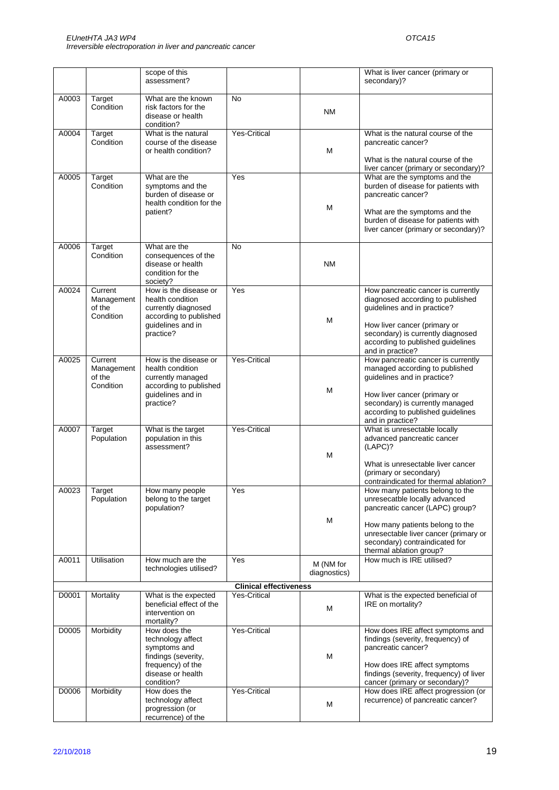|       |                                              | scope of this<br>assessment?                                                                                                     |                               |                           | What is liver cancer (primary or<br>secondary)?                                                                                                                                                                                              |
|-------|----------------------------------------------|----------------------------------------------------------------------------------------------------------------------------------|-------------------------------|---------------------------|----------------------------------------------------------------------------------------------------------------------------------------------------------------------------------------------------------------------------------------------|
| A0003 | Target<br>Condition                          | What are the known<br>risk factors for the<br>disease or health<br>condition?                                                    | No                            | <b>NM</b>                 |                                                                                                                                                                                                                                              |
| A0004 | Target<br>Condition                          | What is the natural<br>course of the disease<br>or health condition?                                                             | <b>Yes-Critical</b>           | M                         | What is the natural course of the<br>pancreatic cancer?<br>What is the natural course of the<br>liver cancer (primary or secondary)?                                                                                                         |
| A0005 | Target<br>Condition                          | What are the<br>symptoms and the<br>burden of disease or<br>health condition for the<br>patient?                                 | Yes                           | M                         | What are the symptoms and the<br>burden of disease for patients with<br>pancreatic cancer?<br>What are the symptoms and the<br>burden of disease for patients with<br>liver cancer (primary or secondary)?                                   |
| A0006 | Target<br>Condition                          | What are the<br>consequences of the<br>disease or health<br>condition for the<br>society?                                        | No                            | <b>NM</b>                 |                                                                                                                                                                                                                                              |
| A0024 | Current<br>Management<br>of the<br>Condition | How is the disease or<br>health condition<br>currently diagnosed<br>according to published<br>guidelines and in<br>practice?     | Yes                           | М                         | How pancreatic cancer is currently<br>diagnosed according to published<br>guidelines and in practice?<br>How liver cancer (primary or<br>secondary) is currently diagnosed<br>according to published guidelines<br>and in practice?          |
| A0025 | Current<br>Management<br>of the<br>Condition | How is the disease or<br>health condition<br>currently managed<br>according to published<br>guidelines and in<br>practice?       | Yes-Critical                  | М                         | How pancreatic cancer is currently<br>managed according to published<br>guidelines and in practice?<br>How liver cancer (primary or<br>secondary) is currently managed<br>according to published guidelines<br>and in practice?              |
| A0007 | Target<br>Population                         | What is the target<br>population in this<br>assessment?                                                                          | Yes-Critical                  | M                         | What is unresectable locally<br>advanced pancreatic cancer<br>(LAPC)?<br>What is unresectable liver cancer<br>(primary or secondary)<br>contraindicated for thermal ablation?                                                                |
| A0023 | Target<br>Population                         | How many people<br>belong to the target<br>population?                                                                           | Yes                           | М                         | How many patients belong to the<br>unresecatble locally advanced<br>pancreatic cancer (LAPC) group?<br>How many patients belong to the<br>unresectable liver cancer (primary or<br>secondary) contraindicated for<br>thermal ablation group? |
| A0011 | Utilisation                                  | How much are the<br>technologies utilised?                                                                                       | Yes                           | M (NM for<br>diagnostics) | How much is IRE utilised?                                                                                                                                                                                                                    |
|       |                                              |                                                                                                                                  | <b>Clinical effectiveness</b> |                           |                                                                                                                                                                                                                                              |
| D0001 | Mortality                                    | What is the expected<br>beneficial effect of the<br>intervention on<br>mortality?                                                | <b>Yes-Critical</b>           | M                         | What is the expected beneficial of<br>IRE on mortality?                                                                                                                                                                                      |
| D0005 | Morbidity                                    | How does the<br>technology affect<br>symptoms and<br>findings (severity,<br>frequency) of the<br>disease or health<br>condition? | <b>Yes-Critical</b>           | М                         | How does IRE affect symptoms and<br>findings (severity, frequency) of<br>pancreatic cancer?<br>How does IRE affect symptoms<br>findings (severity, frequency) of liver<br>cancer (primary or secondary)?                                     |
| D0006 | Morbidity                                    | How does the<br>technology affect<br>progression (or<br>recurrence) of the                                                       | <b>Yes-Critical</b>           | M                         | How does IRE affect progression (or<br>recurrence) of pancreatic cancer?                                                                                                                                                                     |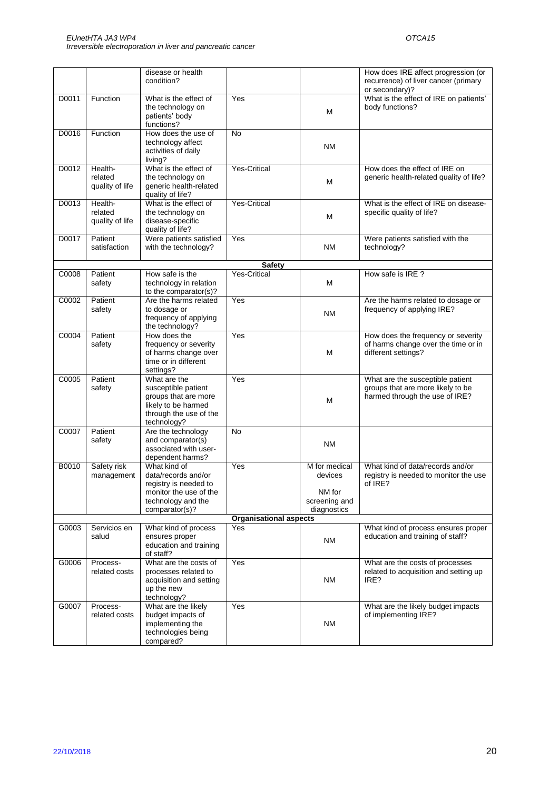|       |                                       | disease or health<br>condition?                                                                                                |                               |                                                                    | How does IRE affect progression (or<br>recurrence) of liver cancer (primary<br>or secondary)?           |
|-------|---------------------------------------|--------------------------------------------------------------------------------------------------------------------------------|-------------------------------|--------------------------------------------------------------------|---------------------------------------------------------------------------------------------------------|
| D0011 | Function                              | What is the effect of<br>the technology on<br>patients' body<br>functions?                                                     | Yes                           | м                                                                  | What is the effect of IRE on patients'<br>body functions?                                               |
| D0016 | Function                              | How does the use of<br>technology affect<br>activities of daily<br>living?                                                     | <b>No</b>                     | <b>NM</b>                                                          |                                                                                                         |
| D0012 | Health-<br>related<br>quality of life | What is the effect of<br>the technology on<br>generic health-related<br>quality of life?                                       | <b>Yes-Critical</b>           | M                                                                  | How does the effect of IRE on<br>generic health-related quality of life?                                |
| D0013 | Health-<br>related<br>quality of life | What is the effect of<br>the technology on<br>disease-specific<br>quality of life?                                             | <b>Yes-Critical</b>           | M                                                                  | What is the effect of IRE on disease-<br>specific quality of life?                                      |
| D0017 | Patient<br>satisfaction               | Were patients satisfied<br>with the technology?                                                                                | Yes                           | <b>NM</b>                                                          | Were patients satisfied with the<br>technology?                                                         |
|       |                                       |                                                                                                                                | <b>Safety</b>                 |                                                                    |                                                                                                         |
| C0008 | Patient<br>safety                     | How safe is the<br>technology in relation<br>to the comparator(s)?                                                             | <b>Yes-Critical</b>           | M                                                                  | How safe is IRE ?                                                                                       |
| C0002 | Patient<br>safety                     | Are the harms related<br>to dosage or<br>frequency of applying<br>the technology?                                              | Yes                           | <b>NM</b>                                                          | Are the harms related to dosage or<br>frequency of applying IRE?                                        |
| C0004 | Patient<br>safety                     | How does the<br>frequency or severity<br>of harms change over<br>time or in different<br>settings?                             | Yes                           | M                                                                  | How does the frequency or severity<br>of harms change over the time or in<br>different settings?        |
| C0005 | Patient<br>safety                     | What are the<br>susceptible patient<br>groups that are more<br>likely to be harmed<br>through the use of the<br>technology?    | Yes                           | м                                                                  | What are the susceptible patient<br>groups that are more likely to be<br>harmed through the use of IRE? |
| C0007 | Patient<br>safety                     | Are the technology<br>and comparator(s)<br>associated with user-<br>dependent harms?                                           | <b>No</b>                     | <b>NM</b>                                                          |                                                                                                         |
| B0010 | Safety risk<br>management             | What kind of<br>data/records and/or<br>registry is needed to<br>monitor the use of the<br>technology and the<br>comparator(s)? | Yes                           | M for medical<br>devices<br>NM for<br>screening and<br>diagnostics | What kind of data/records and/or<br>registry is needed to monitor the use<br>of IRE?                    |
|       |                                       |                                                                                                                                | <b>Organisational aspects</b> |                                                                    |                                                                                                         |
| G0003 | Servicios en<br>salud                 | What kind of process<br>ensures proper<br>education and training<br>of staff?                                                  | Yes                           | <b>NM</b>                                                          | What kind of process ensures proper<br>education and training of staff?                                 |
| G0006 | Process-<br>related costs             | What are the costs of<br>processes related to<br>acquisition and setting<br>up the new<br>technology?                          | Yes                           | ΝM                                                                 | What are the costs of processes<br>related to acquisition and setting up<br>IRE?                        |
| G0007 | Process-<br>related costs             | What are the likely<br>budget impacts of<br>implementing the<br>technologies being<br>compared?                                | Yes                           | ΝM                                                                 | What are the likely budget impacts<br>of implementing IRE?                                              |